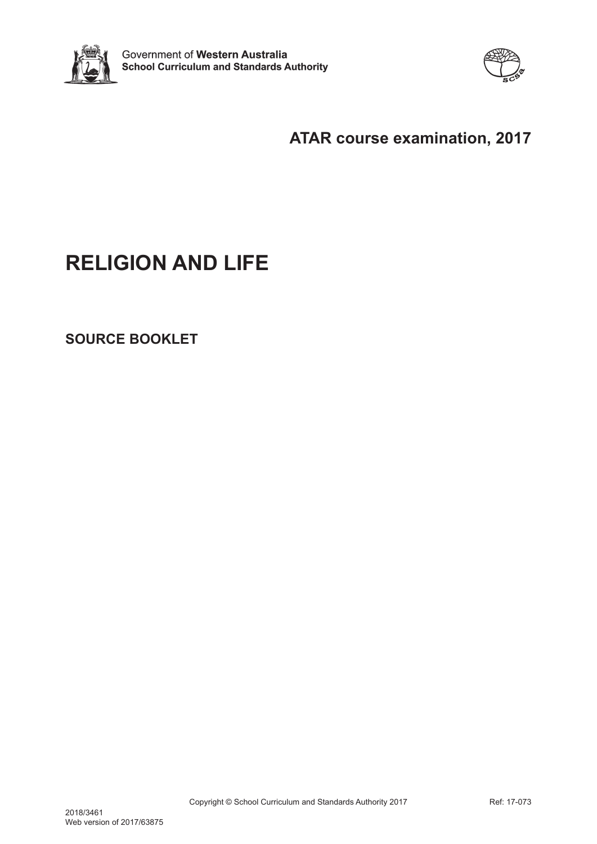



## **ATAR course examination, 2017**

# **RELIGION AND LIFE**

**SOURCE BOOKLET**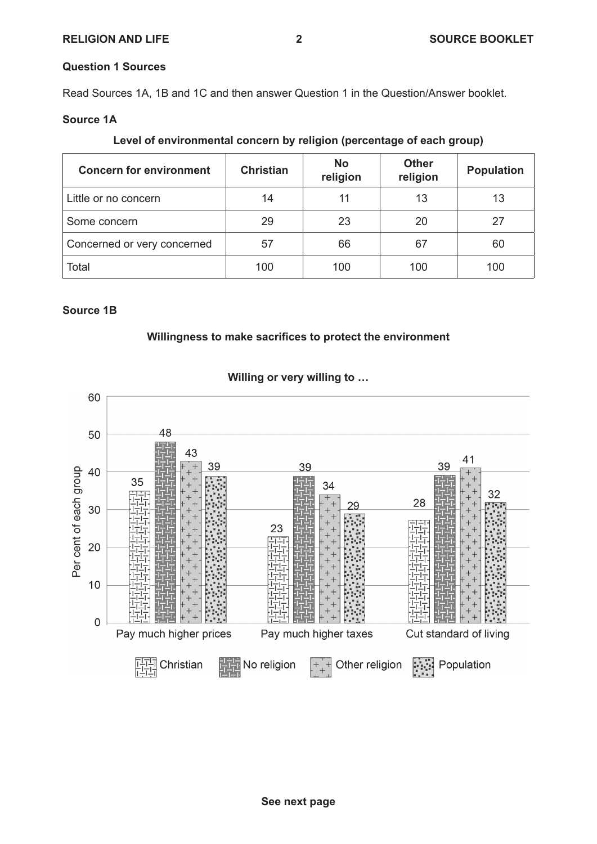#### **Question 1 Sources**

Read Sources 1A, 1B and 1C and then answer Question 1 in the Question/Answer booklet.

#### **Source 1A**

| <b>Concern for environment</b> | <b>Christian</b> | <b>No</b><br>religion | <b>Other</b><br>religion | <b>Population</b> |
|--------------------------------|------------------|-----------------------|--------------------------|-------------------|
| Little or no concern           | 14               | 11                    | 13                       | 13                |
| Some concern                   | 29               | 23                    | 20                       | 27                |
| Concerned or very concerned    | 57               | 66                    | 67                       | 60                |
| Total                          | 100              | 100                   | 100                      | 100               |

#### **Source 1B**

#### **Willingness to make sacrifices to protect the environment**



#### **Willing or very willing to …**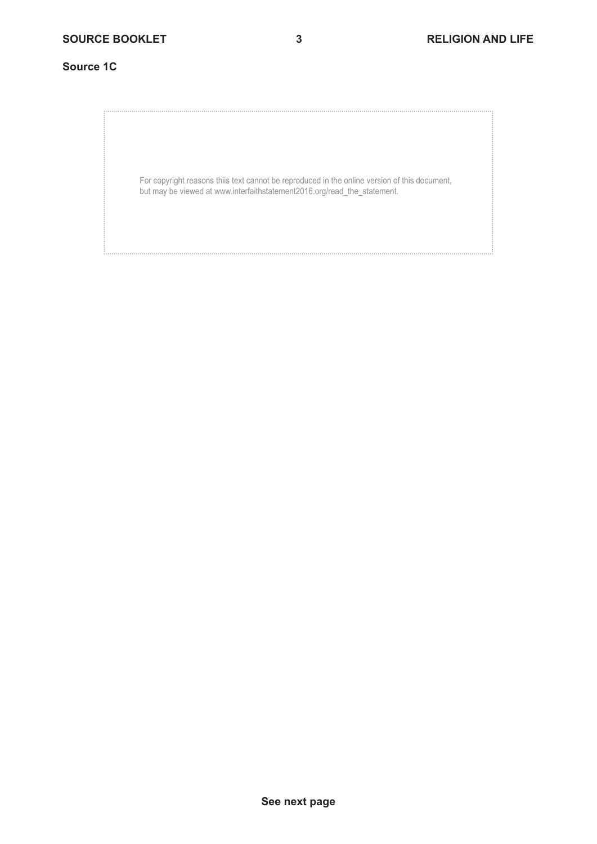#### **Source 1C**

For copyright reasons thiis text cannot be reproduced in the online version of this document, but may be viewed at www.interfaithstatement2016.org/read\_the\_statement.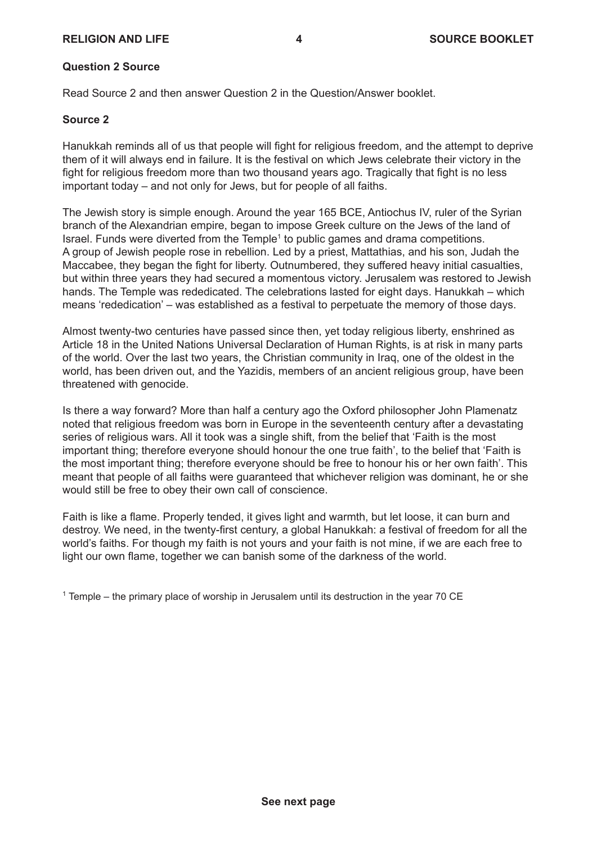#### **RELIGION AND LIFE 4 SOURCE BOOKLET**

#### **Question 2 Source**

Read Source 2 and then answer Question 2 in the Question/Answer booklet.

#### **Source 2**

Hanukkah reminds all of us that people will fight for religious freedom, and the attempt to deprive them of it will always end in failure. It is the festival on which Jews celebrate their victory in the fight for religious freedom more than two thousand years ago. Tragically that fight is no less important today – and not only for Jews, but for people of all faiths.

The Jewish story is simple enough. Around the year 165 BCE, Antiochus IV, ruler of the Syrian branch of the Alexandrian empire, began to impose Greek culture on the Jews of the land of Israel. Funds were diverted from the Temple<sup>1</sup> to public games and drama competitions. A group of Jewish people rose in rebellion. Led by a priest, Mattathias, and his son, Judah the Maccabee, they began the fight for liberty. Outnumbered, they suffered heavy initial casualties, but within three years they had secured a momentous victory. Jerusalem was restored to Jewish hands. The Temple was rededicated. The celebrations lasted for eight days. Hanukkah – which means 'rededication' – was established as a festival to perpetuate the memory of those days.

Almost twenty-two centuries have passed since then, yet today religious liberty, enshrined as Article 18 in the United Nations Universal Declaration of Human Rights, is at risk in many parts of the world. Over the last two years, the Christian community in Iraq, one of the oldest in the world, has been driven out, and the Yazidis, members of an ancient religious group, have been threatened with genocide.

Is there a way forward? More than half a century ago the Oxford philosopher John Plamenatz noted that religious freedom was born in Europe in the seventeenth century after a devastating series of religious wars. All it took was a single shift, from the belief that 'Faith is the most important thing; therefore everyone should honour the one true faith', to the belief that 'Faith is the most important thing; therefore everyone should be free to honour his or her own faith'. This meant that people of all faiths were guaranteed that whichever religion was dominant, he or she would still be free to obey their own call of conscience.

Faith is like a flame. Properly tended, it gives light and warmth, but let loose, it can burn and destroy. We need, in the twenty-first century, a global Hanukkah: a festival of freedom for all the world's faiths. For though my faith is not yours and your faith is not mine, if we are each free to light our own flame, together we can banish some of the darkness of the world.

 $^{\text{1}}$  Temple – the primary place of worship in Jerusalem until its destruction in the year 70 CE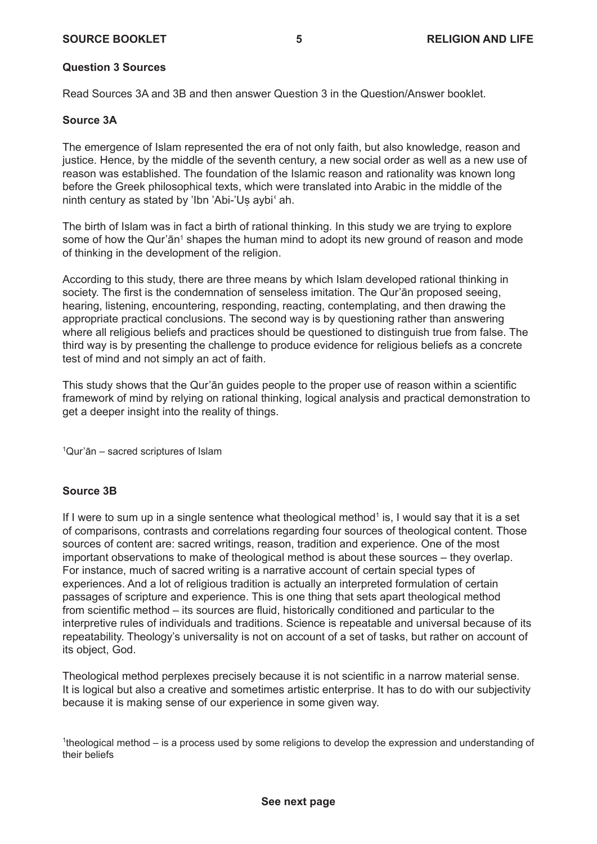#### **SOURCE BOOKLET 5 RELIGION AND LIFE**

#### **Question 3 Sources**

Read Sources 3A and 3B and then answer Question 3 in the Question/Answer booklet.

#### **Source 3A**

The emergence of Islam represented the era of not only faith, but also knowledge, reason and justice. Hence, by the middle of the seventh century, a new social order as well as a new use of reason was established. The foundation of the Islamic reason and rationality was known long before the Greek philosophical texts, which were translated into Arabic in the middle of the ninth century as stated by 'Ibn 'Abi-'Us aybi<mark>' ah</mark>.

The birth of Islam was in fact a birth of rational thinking. In this study we are trying to explore some of how the Qur'ān<sup>1</sup> shapes the human mind to adopt its new ground of reason and mode of thinking in the development of the religion.

According to this study, there are three means by which Islam developed rational thinking in society. The first is the condemnation of senseless imitation. The Qur'ān proposed seeing, hearing, listening, encountering, responding, reacting, contemplating, and then drawing the appropriate practical conclusions. The second way is by questioning rather than answering where all religious beliefs and practices should be questioned to distinguish true from false. The third way is by presenting the challenge to produce evidence for religious beliefs as a concrete test of mind and not simply an act of faith.

This study shows that the Qur'ān guides people to the proper use of reason within a scientific framework of mind by relying on rational thinking, logical analysis and practical demonstration to get a deeper insight into the reality of things.

1 Qur'ān – sacred scriptures of Islam

#### **Source 3B**

If I were to sum up in a single sentence what theological method<sup>1</sup> is, I would say that it is a set of comparisons, contrasts and correlations regarding four sources of theological content. Those sources of content are: sacred writings, reason, tradition and experience. One of the most important observations to make of theological method is about these sources – they overlap. For instance, much of sacred writing is a narrative account of certain special types of experiences. And a lot of religious tradition is actually an interpreted formulation of certain passages of scripture and experience. This is one thing that sets apart theological method from scientific method – its sources are fluid, historically conditioned and particular to the interpretive rules of individuals and traditions. Science is repeatable and universal because of its repeatability. Theology's universality is not on account of a set of tasks, but rather on account of its object, God.

Theological method perplexes precisely because it is not scientific in a narrow material sense. It is logical but also a creative and sometimes artistic enterprise. It has to do with our subjectivity because it is making sense of our experience in some given way.

<sup>1</sup>theological method – is a process used by some religions to develop the expression and understanding of their beliefs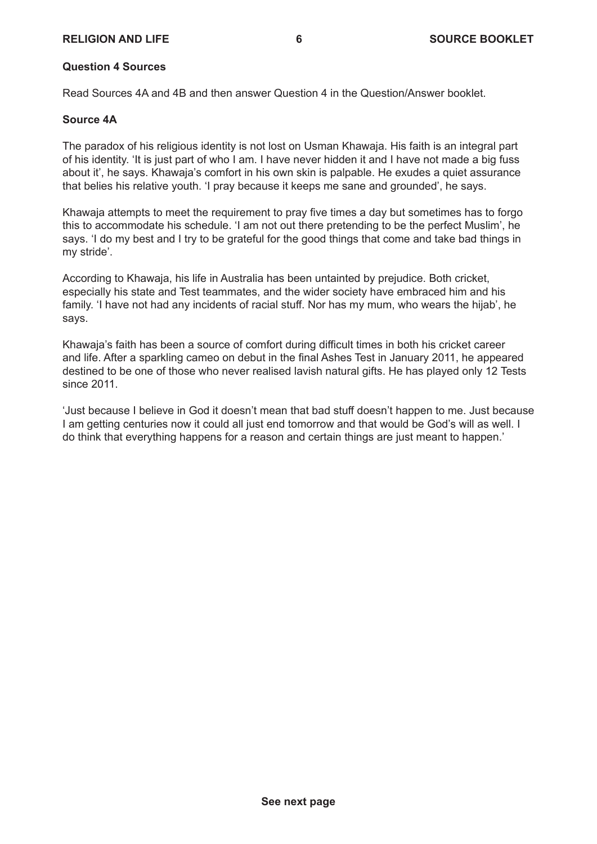#### **RELIGION AND LIFE 6 SOURCE BOOKLET**

#### **Question 4 Sources**

Read Sources 4A and 4B and then answer Question 4 in the Question/Answer booklet.

#### **Source 4A**

The paradox of his religious identity is not lost on Usman Khawaja. His faith is an integral part of his identity. 'It is just part of who I am. I have never hidden it and I have not made a big fuss about it', he says. Khawaja's comfort in his own skin is palpable. He exudes a quiet assurance that belies his relative youth. 'I pray because it keeps me sane and grounded', he says.

Khawaja attempts to meet the requirement to pray five times a day but sometimes has to forgo this to accommodate his schedule. 'I am not out there pretending to be the perfect Muslim', he says. 'I do my best and I try to be grateful for the good things that come and take bad things in my stride'.

According to Khawaja, his life in Australia has been untainted by prejudice. Both cricket, especially his state and Test teammates, and the wider society have embraced him and his family. 'I have not had any incidents of racial stuff. Nor has my mum, who wears the hijab', he says.

Khawaja's faith has been a source of comfort during difficult times in both his cricket career and life. After a sparkling cameo on debut in the final Ashes Test in January 2011, he appeared destined to be one of those who never realised lavish natural gifts. He has played only 12 Tests since 2011.

'Just because I believe in God it doesn't mean that bad stuff doesn't happen to me. Just because I am getting centuries now it could all just end tomorrow and that would be God's will as well. I do think that everything happens for a reason and certain things are just meant to happen.'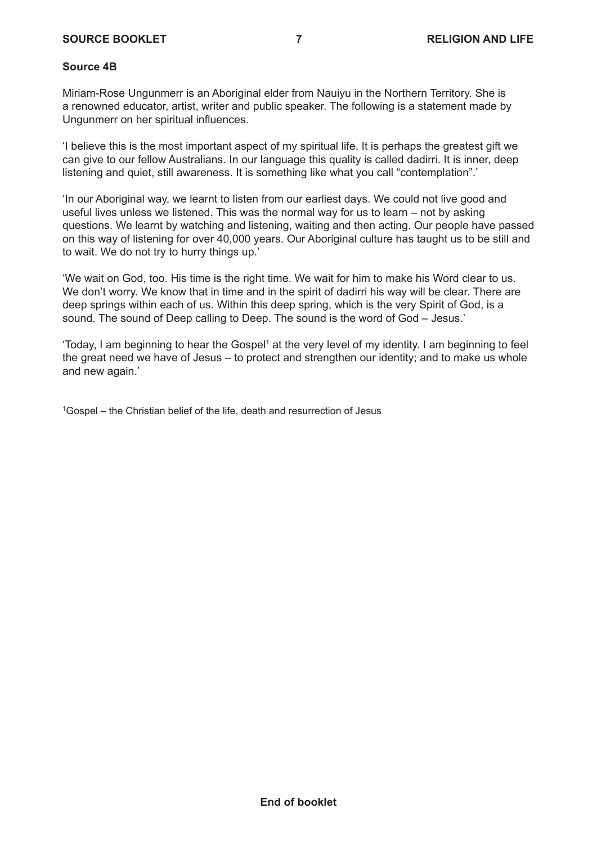#### **SOURCE BOOKLET 7 RELIGION AND LIFE**

#### **Source 4B**

Miriam-Rose Ungunmerr is an Aboriginal elder from Nauiyu in the Northern Territory. She is a renowned educator, artist, writer and public speaker. The following is a statement made by Ungunmerr on her spiritual influences.

'I believe this is the most important aspect of my spiritual life. It is perhaps the greatest gift we can give to our fellow Australians. In our language this quality is called dadirri. It is inner, deep listening and quiet, still awareness. It is something like what you call "contemplation".'

'In our Aboriginal way, we learnt to listen from our earliest days. We could not live good and useful lives unless we listened. This was the normal way for us to learn – not by asking questions. We learnt by watching and listening, waiting and then acting. Our people have passed on this way of listening for over 40,000 years. Our Aboriginal culture has taught us to be still and to wait. We do not try to hurry things up.'

'We wait on God, too. His time is the right time. We wait for him to make his Word clear to us. We don't worry. We know that in time and in the spirit of dadirri his way will be clear. There are deep springs within each of us. Within this deep spring, which is the very Spirit of God, is a sound. The sound of Deep calling to Deep. The sound is the word of God – Jesus.'

'Today, I am beginning to hear the Gospel $^{\scriptscriptstyle\mathsf{1}}$  at the very level of my identity. I am beginning to feel the great need we have of Jesus – to protect and strengthen our identity; and to make us whole and new again.'

<sup>1</sup>Gospel – the Christian belief of the life, death and resurrection of Jesus